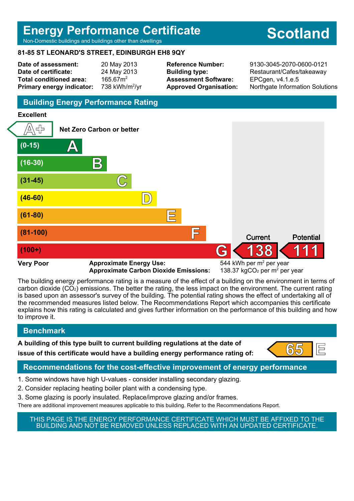# **Energy Performance Certificate**

Non-Domestic buildings and buildings other than dwellings

# **81-85 ST LEONARD'S STREET, EDINBURGH EH8 9QY**

**Date of assessment:** 20 May 2013 **Date of certificate:** 24 May 2013 Total conditioned area: 165.67m<sup>2</sup> **Primary energy indicator:** 738 kWh/m $^{2}$ /vr **Assessment Software:** EPCgen, v4.1.e.5

**Reference Number:** 9130-3045-2070-0600-0121 **Building type:** Restaurant/Cafes/takeaway **Approved Organisation:** Northgate Information Solutions

# **Building Energy Performance Rating**

#### **Excellent**



**Approximate Carbon Dioxide Emissions:** 

The building energy performance rating is a measure of the effect of a building on the environment in terms of carbon dioxide (CO2) emissions. The better the rating, the less impact on the environment. The current rating is based upon an assessor's survey of the building. The potential rating shows the effect of undertaking all of the recommended measures listed below. The Recommendations Report which accompanies this certificate explains how this rating is calculated and gives further information on the performance of this building and how to improve it.

# **Benchmark**

**A building of this type built to current building regulations at the date of**

**issue of this certificate would have a building energy performance rating of:**  $\begin{bmatrix} 65 \\ 1 \end{bmatrix}$ 



# **Recommendations for the cost-effective improvement of energy performance**

- 1. Some windows have high U-values consider installing secondary glazing.
- 2. Consider replacing heating boiler plant with a condensing type.
- 3. Some glazing is poorly insulated. Replace/improve glazing and/or frames.

There are additional improvement measures applicable to this building. Refer to the Recommendations Report.

THIS PAGE IS THE ENERGY PERFORMANCE CERTIFICATE WHICH MUST BE AFFIXED TO THE BUILDING AND NOT BE REMOVED UNLESS REPLACED WITH AN UPDATED CERTIFICATE.

# **Scotland**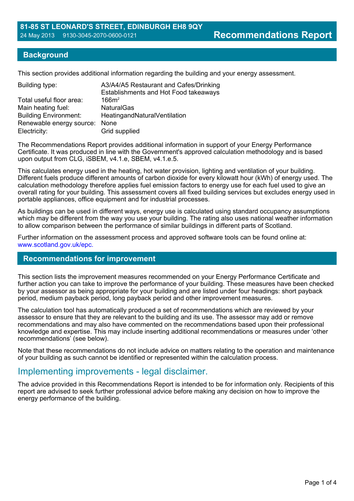#### **Background**

This section provides additional information regarding the building and your energy assessment.

| A3/A4/A5 Restaurant and Cafes/Drinking<br>Establishments and Hot Food takeaways |
|---------------------------------------------------------------------------------|
| 166m <sup>2</sup>                                                               |
| <b>NaturalGas</b>                                                               |
| HeatingandNaturalVentilation                                                    |
| Renewable energy source:<br>None                                                |
| Grid supplied                                                                   |
|                                                                                 |

The Recommendations Report provides additional information in support of your Energy Performance Certificate. It was produced in line with the Government's approved calculation methodology and is based upon output from CLG, iSBEM, v4.1.e, SBEM, v4.1.e.5.

This calculates energy used in the heating, hot water provision, lighting and ventilation of your building. Different fuels produce different amounts of carbon dioxide for every kilowatt hour (kWh) of energy used. The calculation methodology therefore applies fuel emission factors to energy use for each fuel used to give an overall rating for your building. This assessment covers all fixed building services but excludes energy used in portable appliances, office equipment and for industrial processes.

As buildings can be used in different ways, energy use is calculated using standard occupancy assumptions which may be different from the way you use your building. The rating also uses national weather information to allow comparison between the performance of similar buildings in different parts of Scotland.

Further information on the assessment process and approved software tools can be found online at: www.scotland.gov.uk/epc.

#### **Recommendations for improvement**

This section lists the improvement measures recommended on your Energy Performance Certificate and further action you can take to improve the performance of your building. These measures have been checked by your assessor as being appropriate for your building and are listed under four headings: short payback period, medium payback period, long payback period and other improvement measures.

The calculation tool has automatically produced a set of recommendations which are reviewed by your assessor to ensure that they are relevant to the building and its use. The assessor may add or remove recommendations and may also have commented on the recommendations based upon their professional knowledge and expertise. This may include inserting additional recommendations or measures under 'other recommendations' (see below).

Note that these recommendations do not include advice on matters relating to the operation and maintenance of your building as such cannot be identified or represented within the calculation process.

# Implementing improvements - legal disclaimer.

The advice provided in this Recommendations Report is intended to be for information only. Recipients of this report are advised to seek further professional advice before making any decision on how to improve the energy performance of the building.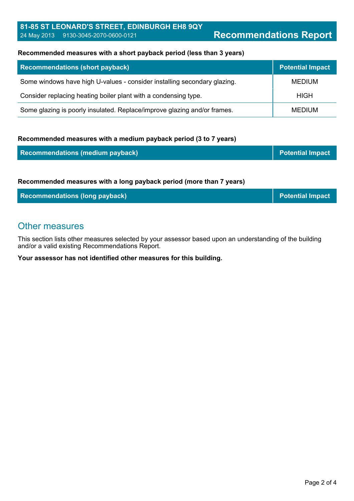#### **Recommended measures with a short payback period (less than 3 years)**

| <b>Recommendations (short payback)</b>                                   | <b>Potential Impact</b> |
|--------------------------------------------------------------------------|-------------------------|
| Some windows have high U-values - consider installing secondary glazing. | <b>MEDIUM</b>           |
| Consider replacing heating boiler plant with a condensing type.          | <b>HIGH</b>             |
| Some glazing is poorly insulated. Replace/improve glazing and/or frames. | MEDIUM                  |

#### **Recommended measures with a medium payback period (3 to 7 years)**

| <b>Recommendations (medium payback)</b>                             | <b>Potential Impact</b> |
|---------------------------------------------------------------------|-------------------------|
|                                                                     |                         |
| Recommended measures with a long payback period (more than 7 years) |                         |
| <b>Recommendations (long payback)</b>                               | <b>Potential Impact</b> |

# Other measures

This section lists other measures selected by your assessor based upon an understanding of the building and/or a valid existing Recommendations Report.

**Your assessor has not identified other measures for this building.**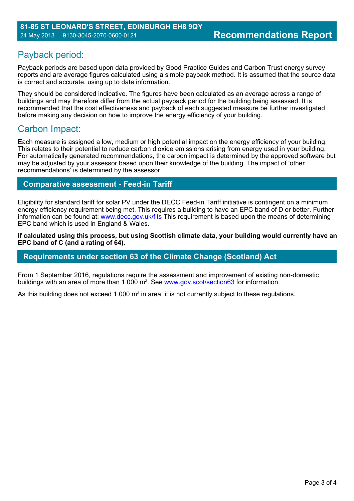# Payback period:

Payback periods are based upon data provided by Good Practice Guides and Carbon Trust energy survey reports and are average figures calculated using a simple payback method. It is assumed that the source data is correct and accurate, using up to date information.

They should be considered indicative. The figures have been calculated as an average across a range of buildings and may therefore differ from the actual payback period for the building being assessed. It is recommended that the cost effectiveness and payback of each suggested measure be further investigated before making any decision on how to improve the energy efficiency of your building.

# Carbon Impact:

Each measure is assigned a low, medium or high potential impact on the energy efficiency of your building. This relates to their potential to reduce carbon dioxide emissions arising from energy used in your building. For automatically generated recommendations, the carbon impact is determined by the approved software but may be adjusted by your assessor based upon their knowledge of the building. The impact of 'other recommendations' is determined by the assessor.

# **Comparative assessment - Feed-in Tariff**

Eligibility for standard tariff for solar PV under the DECC Feed-in Tariff initiative is contingent on a minimum energy efficiency requirement being met. This requires a building to have an EPC band of D or better. Further information can be found at: www.decc.gov.uk/fits This requirement is based upon the means of determining EPC band which is used in England & Wales.

**If calculated using this process, but using Scottish climate data, your building would currently have an EPC band of C (and a rating of 64).**

### **Requirements under section 63 of the Climate Change (Scotland) Act**

From 1 September 2016, regulations require the assessment and improvement of existing non-domestic buildings with an area of more than 1,000 m². See www.gov.scot/section63 for information.

As this building does not exceed 1,000 m<sup>2</sup> in area, it is not currently subject to these regulations.